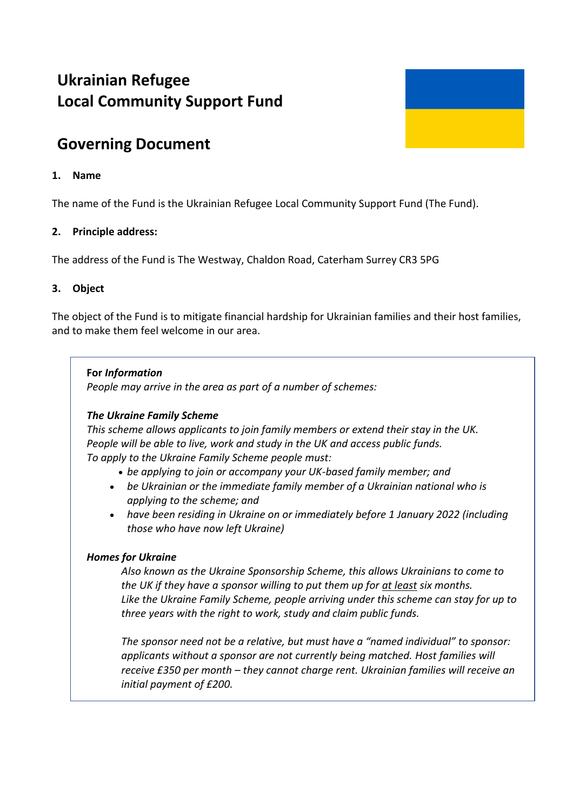# **Ukrainian Refugee Local Community Support Fund**



## **1. Name**

The name of the Fund is the Ukrainian Refugee Local Community Support Fund (The Fund).

# **2. Principle address:**

The address of the Fund is The Westway, Chaldon Road, Caterham Surrey CR3 5PG

# **3. Object**

The object of the Fund is to mitigate financial hardship for Ukrainian families and their host families, and to make them feel welcome in our area.

#### **For** *Information*

*People may arrive in the area as part of a number of schemes:*

#### *The Ukraine Family Scheme*

*This scheme allows applicants to join family members or extend their stay in the UK. People will be able to live, work and study in the UK and access public funds. To apply to the Ukraine Family Scheme people must:*

*be applying to join or accompany your UK-based family member; and*

- *be Ukrainian or the immediate family member of a Ukrainian national who is applying to the scheme; and*
- *have been residing in Ukraine on or immediately before 1 January 2022 (including those who have now left Ukraine)*

# *Homes for Ukraine*

*Also known as the Ukraine [Sponsorship Scheme,](https://www.gov.uk/guidance/apply-for-a-visa-under-the-ukraine-sponsorship-scheme) this allows Ukrainians to come to the UK if they have a sponsor willing to put them up for at least six months. Like the Ukraine Family Scheme, people arriving under this scheme can stay for up to three years with the right to work, study and claim public funds.*

*The sponsor need not be a relative, but must have a "named individual" to sponsor: applicants without a sponsor are not currently being matched. Host families will receive £350 per month – they cannot charge rent. Ukrainian families will receive an initial payment of £200.*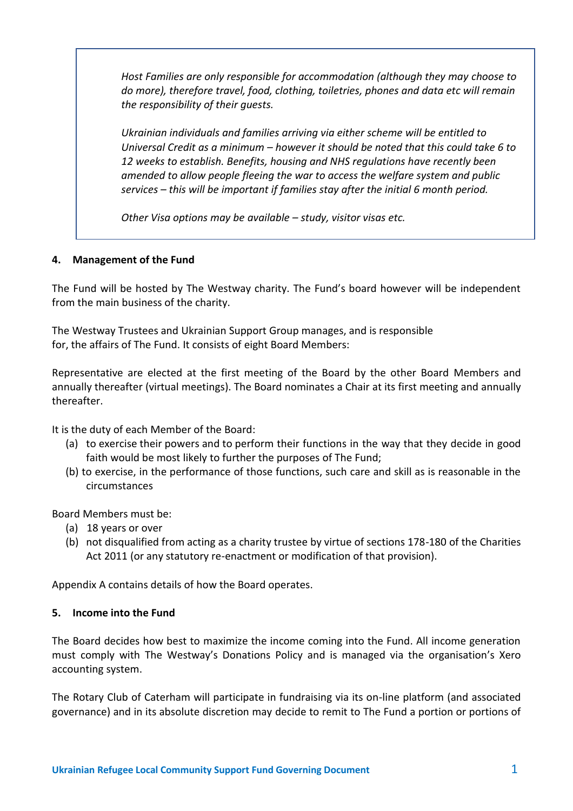*Host Families are only responsible for accommodation (although they may choose to do more), therefore travel, food, clothing, toiletries, phones and data etc will remain the responsibility of their guests.*

*Ukrainian individuals and families arriving via either scheme will be entitled to Universal Credit as a minimum – however it should be noted that this could take 6 to 12 weeks to establish. [Benefits,](https://www.legislation.gov.uk/uksi/2022/344/contents/made) [housing](https://www.legislation.gov.uk/uksi/2022/339/contents/made) and [NHS](https://www.legislation.gov.uk/uksi/2022/318/contents/made) regulations have recently been amended to allow people fleeing the war to access the welfare system and public services – this will be important if families stay after the initial 6 month period.*

*Other Visa options may be available – study, visitor visas etc.*

# **4. Management of the Fund**

The Fund will be hosted by The Westway charity. The Fund's board however will be independent from the main business of the charity.

The Westway Trustees and Ukrainian Support Group manages, and is responsible for, the affairs of The Fund. It consists of eight Board Members:

Representative are elected at the first meeting of the Board by the other Board Members and annually thereafter (virtual meetings). The Board nominates a Chair at its first meeting and annually thereafter.

It is the duty of each Member of the Board:

- (a) to exercise their powers and to perform their functions in the way that they decide in good faith would be most likely to further the purposes of The Fund;
- (b) to exercise, in the performance of those functions, such care and skill as is reasonable in the circumstances

Board Members must be:

- (a) 18 years or over
- (b) not disqualified from acting as a charity trustee by virtue of sections 178-180 of the Charities Act 2011 (or any statutory re-enactment or modification of that provision).

Appendix A contains details of how the Board operates.

#### **5. Income into the Fund**

The Board decides how best to maximize the income coming into the Fund. All income generation must comply with The Westway's Donations Policy and is managed via the organisation's Xero accounting system.

The Rotary Club of Caterham will participate in fundraising via its on-line platform (and associated governance) and in its absolute discretion may decide to remit to The Fund a portion or portions of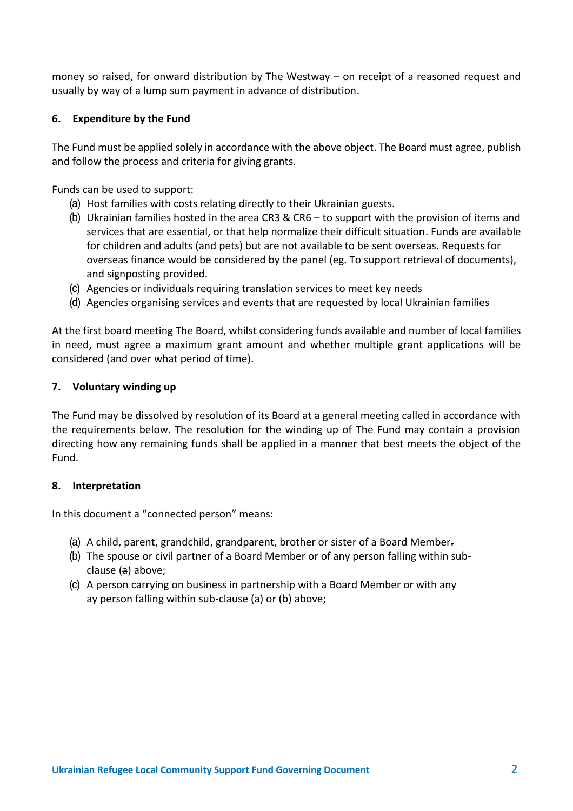money so raised, for onward distribution by The Westway – on receipt of a reasoned request and usually by way of a lump sum payment in advance of distribution.

# **6. Expenditure by the Fund**

The Fund must be applied solely in accordance with the above object. The Board must agree, publish and follow the process and criteria for giving grants.

Funds can be used to support:

- (a) Host families with costs relating directly to their Ukrainian guests.
- (b) Ukrainian families hosted in the area CR3 & CR6 to support with the provision of items and services that are essential, or that help normalize their difficult situation. Funds are available for children and adults (and pets) but are not available to be sent overseas. Requests for overseas finance would be considered by the panel (eg. To support retrieval of documents), and signposting provided.
- (c) Agencies or individuals requiring translation services to meet key needs
- (d) Agencies organising services and events that are requested by local Ukrainian families

At the first board meeting The Board, whilst considering funds available and number of local families in need, must agree a maximum grant amount and whether multiple grant applications will be considered (and over what period of time).

#### **7. Voluntary winding up**

The Fund may be dissolved by resolution of its Board at a general meeting called in accordance with the requirements below. The resolution for the winding up of The Fund may contain a provision directing how any remaining funds shall be applied in a manner that best meets the object of the Fund.

#### **8. Interpretation**

In this document a "connected person" means:

- (a) A child, parent, grandchild, grandparent, brother or sister of a Board Member.
- (b) The spouse or civil partner of a Board Member or of any person falling within subclause (a) above;
- (c) A person carrying on business in partnership with a Board Member or with any ay person falling within sub-clause (a) or (b) above;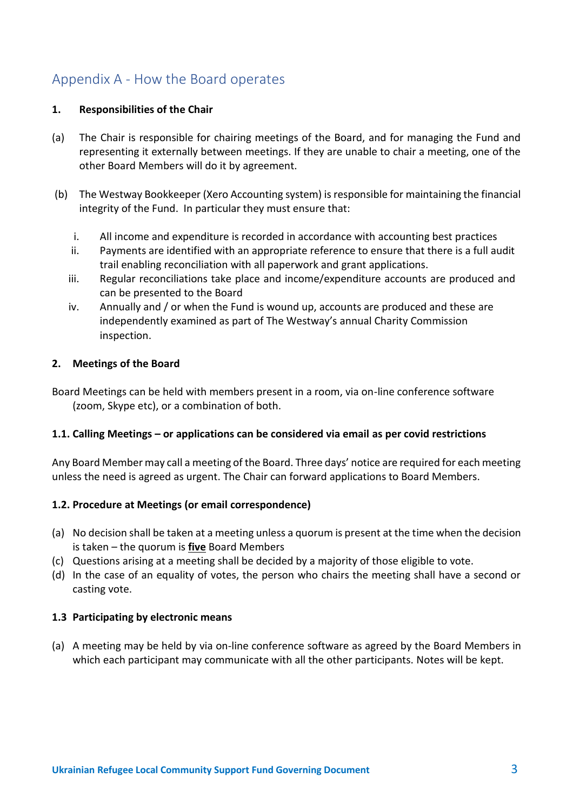# Appendix A - How the Board operates

# **1. Responsibilities of the Chair**

- (a) The Chair is responsible for chairing meetings of the Board, and for managing the Fund and representing it externally between meetings. If they are unable to chair a meeting, one of the other Board Members will do it by agreement.
- (b) The Westway Bookkeeper (Xero Accounting system) is responsible for maintaining the financial integrity of the Fund. In particular they must ensure that:
	- i. All income and expenditure is recorded in accordance with accounting best practices
	- ii. Payments are identified with an appropriate reference to ensure that there is a full audit trail enabling reconciliation with all paperwork and grant applications.
	- iii. Regular reconciliations take place and income/expenditure accounts are produced and can be presented to the Board
	- iv. Annually and / or when the Fund is wound up, accounts are produced and these are independently examined as part of The Westway's annual Charity Commission inspection.

# **2. Meetings of the Board**

Board Meetings can be held with members present in a room, via on-line conference software (zoom, Skype etc), or a combination of both.

#### **1.1. Calling Meetings – or applications can be considered via email as per covid restrictions**

Any Board Member may call a meeting of the Board. Three days' notice are required for each meeting unless the need is agreed as urgent. The Chair can forward applications to Board Members.

# **1.2. Procedure at Meetings (or email correspondence)**

- (a) No decision shall be taken at a meeting unless a quorum is present at the time when the decision is taken – the quorum is **five** Board Members
- (c) Questions arising at a meeting shall be decided by a majority of those eligible to vote.
- (d) In the case of an equality of votes, the person who chairs the meeting shall have a second or casting vote.

#### **1.3 Participating by electronic means**

(a) A meeting may be held by via on-line conference software as agreed by the Board Members in which each participant may communicate with all the other participants. Notes will be kept.